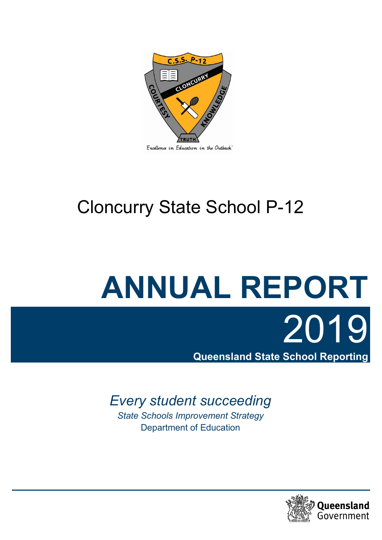

# Cloncurry State School P-12

# **ANNUAL REPORT** 2019

**Queensland State School Reporting**

# *Every student succeeding*

*State Schools Improvement Strategy*  Department of Education

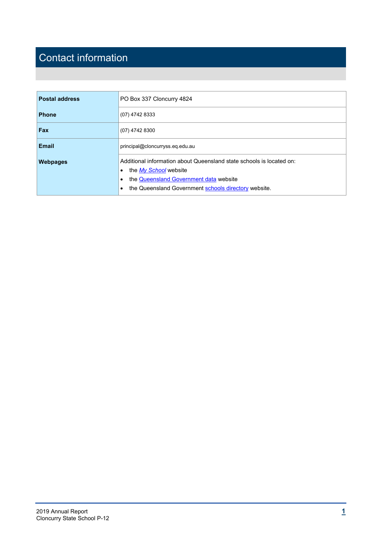# Contact information

| <b>Postal address</b> | PO Box 337 Cloncurry 4824                                                                                                                                                                                      |  |  |  |  |
|-----------------------|----------------------------------------------------------------------------------------------------------------------------------------------------------------------------------------------------------------|--|--|--|--|
| Phone                 | (07) 4742 8333                                                                                                                                                                                                 |  |  |  |  |
| Fax                   | (07) 4742 8300                                                                                                                                                                                                 |  |  |  |  |
| <b>Email</b>          | principal@cloncurryss.eq.edu.au                                                                                                                                                                                |  |  |  |  |
| <b>Webpages</b>       | Additional information about Queensland state schools is located on:<br>the My School website<br>٠<br>the Queensland Government data website<br>٠<br>the Queensland Government schools directory website.<br>٠ |  |  |  |  |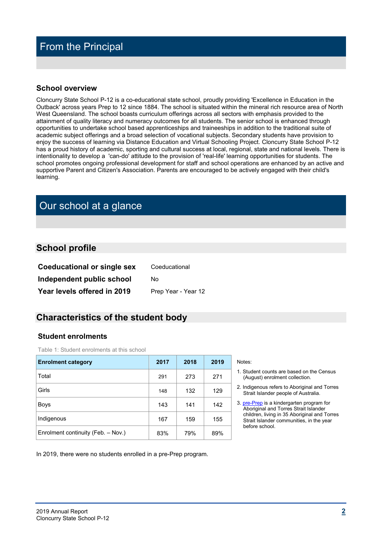# From the Principal

#### **School overview**

Cloncurry State School P-12 is a co-educational state school, proudly providing 'Excellence in Education in the Outback' across years Prep to 12 since 1884. The school is situated within the mineral rich resource area of North West Queensland. The school boasts curriculum offerings across all sectors with emphasis provided to the attainment of quality literacy and numeracy outcomes for all students. The senior school is enhanced through opportunities to undertake school based apprenticeships and traineeships in addition to the traditional suite of academic subject offerings and a broad selection of vocational subjects. Secondary students have provision to enjoy the success of learning via Distance Education and Virtual Schooling Project. Cloncurry State School P-12 has a proud history of academic, sporting and cultural success at local, regional, state and national levels. There is intentionality to develop a 'can-do' attitude to the provision of 'real-life' learning opportunities for students. The school promotes ongoing professional development for staff and school operations are enhanced by an active and supportive Parent and Citizen's Association. Parents are encouraged to be actively engaged with their child's learning.

# Our school at a glance

#### **School profile**

| <b>Coeducational or single sex</b> | Coeducational       |
|------------------------------------|---------------------|
| Independent public school          | No                  |
| Year levels offered in 2019        | Prep Year - Year 12 |

#### **Characteristics of the student body**

#### **Student enrolments**

Table 1: Student enrolments at this school

| <b>Enrolment category</b>          | 2017 | 2018 | 2019 | Notes:           |
|------------------------------------|------|------|------|------------------|
| Total                              | 291  | 273  | 271  | 1. Stud<br>(Auc  |
| Girls                              | 148  | 132  | 129  | 2. Indic<br>Stra |
| <b>Boys</b>                        | 143  | 141  | 142  | 3. pre-<br>Abo   |
| Indigenous                         | 167  | 159  | 155  | chilc<br>Stra    |
| Enrolment continuity (Feb. - Nov.) | 83%  | 79%  | 89%  | befo             |

- 1. Student counts are based on the Census (August) enrolment collection.
- 2. Indigenous refers to Aboriginal and Torres Strait Islander people of Australia.
- 3. [pre-Prep](https://earlychildhood.qld.gov.au/early-years/kindergarten-programs/kindergarten-in-indigenous-communities) is a kindergarten program for Aboriginal and Torres Strait Islander children, living in 35 Aboriginal and Torres Strait Islander communities, in the year before school.

In 2019, there were no students enrolled in a pre-Prep program.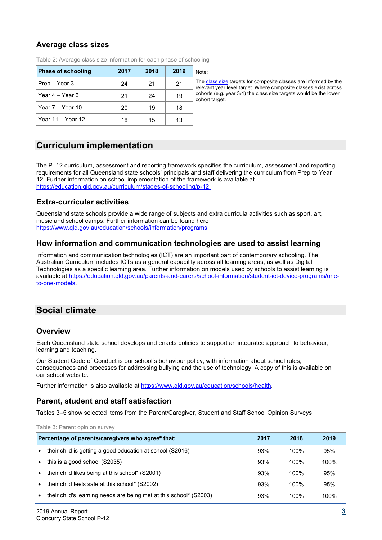#### **Average class sizes**

| <b>Phase of schooling</b> | 2017 | 2018 | 2019 |
|---------------------------|------|------|------|
| Prep – Year 3             | 24   | 21   | 21   |
| Year 4 – Year 6           | 21   | 24   | 19   |
| Year 7 - Year 10          | 20   | 19   | 18   |
| ⊦Year 11 – Year 12        | 18   | 15   | 13   |

Table 2: Average class size information for each phase of schooling

class size targets for composite classes are informed by the vant year level target. Where composite classes exist across orts (e.g. year  $3/4$ ) the class size targets would be the lower ort target.

# **Curriculum implementation**

The P–12 curriculum, assessment and reporting framework specifies the curriculum, assessment and reporting requirements for all Queensland state schools' principals and staff delivering the curriculum from Prep to Year 12. Further information on school implementation of the framework is available at [https://education.qld.gov.au/curriculum/stages-of-schooling/p-12.](https://education.qld.gov.au/curriculum/stages-of-schooling/p-12)

#### **Extra-curricular activities**

Queensland state schools provide a wide range of subjects and extra curricula activities such as sport, art, music and school camps. Further information can be found here [https://www.qld.gov.au/education/schools/information/programs.](https://www.qld.gov.au/education/schools/information/programs)

#### **How information and communication technologies are used to assist learning**

Information and communication technologies (ICT) are an important part of contemporary schooling. The Australian Curriculum includes ICTs as a general capability across all learning areas, as well as Digital Technologies as a specific learning area. Further information on models used by schools to assist learning is available at [https://education.qld.gov.au/parents-and-carers/school-information/student-ict-device-programs/one](https://education.qld.gov.au/parents-and-carers/school-information/student-ict-device-programs/one-to-one-models)[to-one-models.](https://education.qld.gov.au/parents-and-carers/school-information/student-ict-device-programs/one-to-one-models)

# **Social climate**

#### **Overview**

Each Queensland state school develops and enacts policies to support an integrated approach to behaviour, learning and teaching.

Our Student Code of Conduct is our school's behaviour policy, with information about school rules, consequences and processes for addressing bullying and the use of technology. A copy of this is available on our school website.

Further information is also available at [https://www.qld.gov.au/education/schools/health.](https://www.qld.gov.au/education/schools/health)

#### **Parent, student and staff satisfaction**

Tables 3–5 show selected items from the Parent/Caregiver, Student and Staff School Opinion Surveys.

Table 3: Parent opinion survey **Percentage of parents/caregivers who agree# that: 2017 2018 2019** • their child is getting a good education at school (S2016)  $\vert$  93% 100% 100% 95% this is a good school (S2035)  $93\%$  | 100% | 100% their child likes being at this school\* (S2001) 93% 100% 95% their child feels safe at this school\* (S2002) 93% 100% 95% their child's learning needs are being met at this school\*  $(S2003)$  93% 100% 100%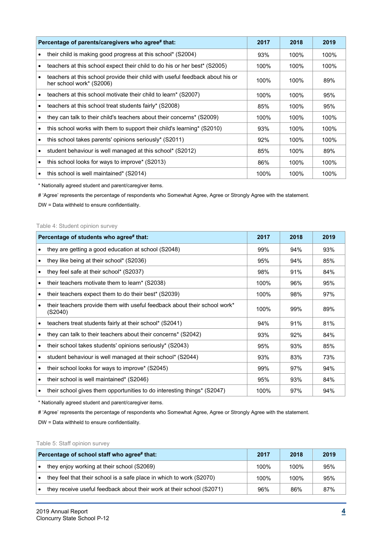| Percentage of parents/caregivers who agree# that:                                                         | 2017 | 2018 | 2019 |
|-----------------------------------------------------------------------------------------------------------|------|------|------|
| their child is making good progress at this school* (S2004)                                               | 93%  | 100% | 100% |
| teachers at this school expect their child to do his or her best* (S2005)                                 | 100% | 100% | 100% |
| teachers at this school provide their child with useful feedback about his or<br>her school work* (S2006) | 100% | 100% | 89%  |
| teachers at this school motivate their child to learn* (S2007)                                            | 100% | 100% | 95%  |
| teachers at this school treat students fairly* (S2008)                                                    | 85%  | 100% | 95%  |
| they can talk to their child's teachers about their concerns* (S2009)                                     | 100% | 100% | 100% |
| this school works with them to support their child's learning* (S2010)                                    | 93%  | 100% | 100% |
| this school takes parents' opinions seriously* (S2011)                                                    | 92%  | 100% | 100% |
| student behaviour is well managed at this school* (S2012)                                                 | 85%  | 100% | 89%  |
| this school looks for ways to improve* (S2013)                                                            | 86%  | 100% | 100% |
| this school is well maintained* (S2014)                                                                   | 100% | 100% | 100% |

\* Nationally agreed student and parent/caregiver items.

# 'Agree' represents the percentage of respondents who Somewhat Agree, Agree or Strongly Agree with the statement.

DW = Data withheld to ensure confidentiality.

#### Table 4: Student opinion survey

| Percentage of students who agree# that:                                              | 2017 | 2018 | 2019 |
|--------------------------------------------------------------------------------------|------|------|------|
| they are getting a good education at school (S2048)                                  | 99%  | 94%  | 93%  |
| they like being at their school* (S2036)                                             | 95%  | 94%  | 85%  |
| they feel safe at their school* (S2037)                                              | 98%  | 91%  | 84%  |
| their teachers motivate them to learn* (S2038)                                       | 100% | 96%  | 95%  |
| their teachers expect them to do their best* (S2039)                                 | 100% | 98%  | 97%  |
| their teachers provide them with useful feedback about their school work*<br>(S2040) | 100% | 99%  | 89%  |
| teachers treat students fairly at their school* (S2041)                              | 94%  | 91%  | 81%  |
| they can talk to their teachers about their concerns* (S2042)                        | 93%  | 92%  | 84%  |
| their school takes students' opinions seriously* (S2043)                             | 95%  | 93%  | 85%  |
| student behaviour is well managed at their school* (S2044)                           | 93%  | 83%  | 73%  |
| their school looks for ways to improve* (S2045)                                      | 99%  | 97%  | 94%  |
| their school is well maintained* (S2046)                                             | 95%  | 93%  | 84%  |
| their school gives them opportunities to do interesting things* (S2047)              | 100% | 97%  | 94%  |

\* Nationally agreed student and parent/caregiver items.

# 'Agree' represents the percentage of respondents who Somewhat Agree, Agree or Strongly Agree with the statement. DW = Data withheld to ensure confidentiality.

#### Table 5: Staff opinion survey

| Percentage of school staff who agree# that:                           | 2017 | 2018 | 2019 |
|-----------------------------------------------------------------------|------|------|------|
| they enjoy working at their school (S2069)                            | 100% | 100% | 95%  |
| they feel that their school is a safe place in which to work (S2070)  | 100% | 100% | 95%  |
| they receive useful feedback about their work at their school (S2071) | 96%  | 86%  | 87%  |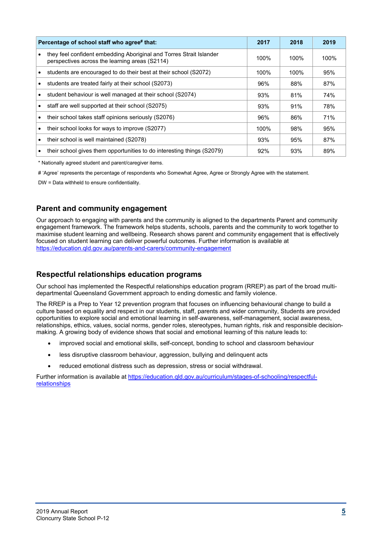| Percentage of school staff who agree# that:                                                                           | 2017 | 2018 | 2019 |
|-----------------------------------------------------------------------------------------------------------------------|------|------|------|
| they feel confident embedding Aboriginal and Torres Strait Islander<br>perspectives across the learning areas (S2114) | 100% | 100% | 100% |
| students are encouraged to do their best at their school (S2072)                                                      | 100% | 100% | 95%  |
| students are treated fairly at their school (S2073)                                                                   | 96%  | 88%  | 87%  |
| student behaviour is well managed at their school (S2074)                                                             | 93%  | 81%  | 74%  |
| staff are well supported at their school (S2075)                                                                      | 93%  | 91%  | 78%  |
| their school takes staff opinions seriously (S2076)                                                                   | 96%  | 86%  | 71%  |
| their school looks for ways to improve (S2077)                                                                        | 100% | 98%  | 95%  |
| their school is well maintained (S2078)                                                                               | 93%  | 95%  | 87%  |
| their school gives them opportunities to do interesting things (S2079)                                                | 92%  | 93%  | 89%  |

\* Nationally agreed student and parent/caregiver items.

# 'Agree' represents the percentage of respondents who Somewhat Agree, Agree or Strongly Agree with the statement.

DW = Data withheld to ensure confidentiality.

#### **Parent and community engagement**

Our approach to engaging with parents and the community is aligned to the departments Parent and community engagement framework. The framework helps students, schools, parents and the community to work together to maximise student learning and wellbeing. Research shows parent and community engagement that is effectively focused on student learning can deliver powerful outcomes. Further information is available at <https://education.qld.gov.au/parents-and-carers/community-engagement>

#### **Respectful relationships education programs**

Our school has implemented the Respectful relationships education program (RREP) as part of the broad multidepartmental Queensland Government approach to ending domestic and family violence.

The RREP is a Prep to Year 12 prevention program that focuses on influencing behavioural change to build a culture based on equality and respect in our students, staff, parents and wider community, Students are provided opportunities to explore social and emotional learning in self-awareness, self-management, social awareness, relationships, ethics, values, social norms, gender roles, stereotypes, human rights, risk and responsible decisionmaking. A growing body of evidence shows that social and emotional learning of this nature leads to:

- improved social and emotional skills, self-concept, bonding to school and classroom behaviour
- less disruptive classroom behaviour, aggression, bullying and delinquent acts
- reduced emotional distress such as depression, stress or social withdrawal.

Further information is available at [https://education.qld.gov.au/curriculum/stages-of-schooling/respectful](https://education.qld.gov.au/curriculum/stages-of-schooling/respectful-relationships)[relationships](https://education.qld.gov.au/curriculum/stages-of-schooling/respectful-relationships)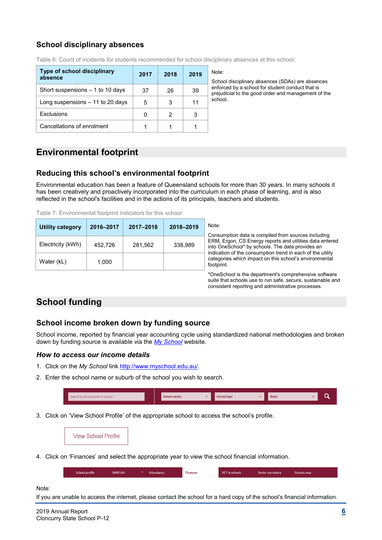## **School disciplinary absences**

| Type of school disciplinary<br>absence | 2017 | 2018 | 2019 | Note:<br>Scho  |
|----------------------------------------|------|------|------|----------------|
| Short suspensions $-1$ to 10 days      | 37   | 26   | 39   | enfor<br>preju |
| Long suspensions $-11$ to 20 days      | 5    | 3    | 11   | schoo          |
| Exclusions                             |      | 2    |      |                |
| Cancellations of enrolment             |      |      |      |                |

Table 6: Count of incidents for students recommended for school disciplinary absences at this school

School disciplinary absences (SDAs) are absences enforced by a school for student conduct that is prejudicial to the good order and management of the .<br>school.

# **Environmental footprint**

#### **Reducing this school's environmental footprint**

Environmental education has been a feature of Queensland schools for more than 30 years. In many schools it has been creatively and proactively incorporated into the curriculum in each phase of learning, and is also reflected in the school's facilities and in the actions of its principals, teachers and students.

Table 7: Environmental footprint indicators for this school

| Utility category  | 2016-2017 | 2017-2018 | 2018-2019 | Note:<br>Consumption data is compiled from sources including                                                                                                               |
|-------------------|-----------|-----------|-----------|----------------------------------------------------------------------------------------------------------------------------------------------------------------------------|
| Electricity (kWh) | 452.726   | 281.562   | 338.989   | ERM, Ergon, CS Energy reports and utilities data entered<br>into OneSchool* by schools. The data provides an<br>indication of the consumption trend in each of the utility |
| Water (kL)        | 1.000     |           |           | categories which impact on this school's environmental<br>footprint.                                                                                                       |
|                   |           |           |           | *OneSchool is the department's comprehensive settware                                                                                                                      |

\*OneSchool is the department's comprehensive software suite that schools use to run safe, secure, sustainable and consistent reporting and administrative processes.

# **School funding**

#### **School income broken down by funding source**

School income, reported by financial year accounting cycle using standardized national methodologies and broken down by funding source is available via the *[My School](http://www.myschool.edu.au/)* website.

#### *How to access our income details*

- 1. Click on the *My School* link [http://www.myschool.edu.au/.](http://www.myschool.edu.au/)
- 2. Enter the school name or suburb of the school you wish to search.

| Search by school name or suburb | ichool sector | <b>Sec</b> | <b>School type</b> | <b>State</b> |  |
|---------------------------------|---------------|------------|--------------------|--------------|--|
|                                 |               |            |                    |              |  |

3. Click on 'View School Profile' of the appropriate school to access the school's profile.

**View School Profile** 

4. Click on 'Finances' and select the appropriate year to view the school financial information.

| School profile | <b>NAPLAN</b> | Attendance | <b>Finances</b> | <b>VET</b> in schools | Senior secondary | Schools map |
|----------------|---------------|------------|-----------------|-----------------------|------------------|-------------|
|                |               |            |                 |                       |                  |             |

#### Note:

If you are unable to access the internet, please contact the school for a hard copy of the school's financial information.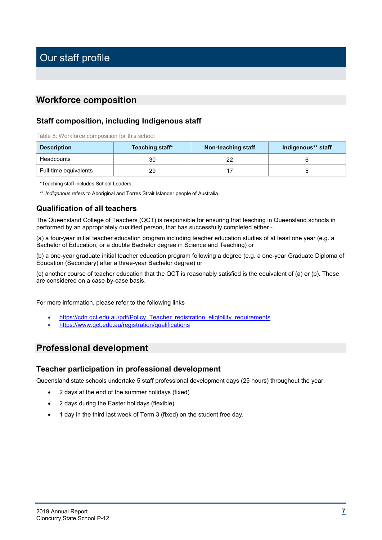## **Workforce composition**

#### **Staff composition, including Indigenous staff**

Table 8: Workforce composition for this school

| <b>Description</b>    | Teaching staff* | Non-teaching staff | Indigenous** staff |
|-----------------------|-----------------|--------------------|--------------------|
| Headcounts            | 30              | nr                 |                    |
| Full-time equivalents | 29              |                    |                    |

\*Teaching staff includes School Leaders.

\*\* *Indigenous* refers to Aboriginal and Torres Strait Islander people of Australia.

#### **Qualification of all teachers**

The Queensland College of Teachers (QCT) is responsible for ensuring that teaching in Queensland schools in performed by an appropriately qualified person, that has successfully completed either -

(a) a four-year initial teacher education program including teacher education studies of at least one year (e.g. a Bachelor of Education, or a double Bachelor degree in Science and Teaching) or

(b) a one-year graduate initial teacher education program following a degree (e.g. a one-year Graduate Diploma of Education (Secondary) after a three-year Bachelor degree) or

(c) another course of teacher education that the QCT is reasonably satisfied is the equivalent of (a) or (b). These are considered on a case-by-case basis.

For more information, please refer to the following links

- [https://cdn.qct.edu.au/pdf/Policy\\_Teacher\\_registration\\_eligibility\\_requirements](https://cdn.qct.edu.au/pdf/Policy_Teacher_registration_eligibility_requirements_EC33_000.pdf?_ga=2.167366263.81220565.1590032243-410575548.1587024613)
- <https://www.qct.edu.au/registration/qualifications>

## **Professional development**

#### **Teacher participation in professional development**

Queensland state schools undertake 5 staff professional development days (25 hours) throughout the year:

- 2 days at the end of the summer holidays (fixed)
- 2 days during the Easter holidays (flexible)
- 1 day in the third last week of Term 3 (fixed) on the student free day.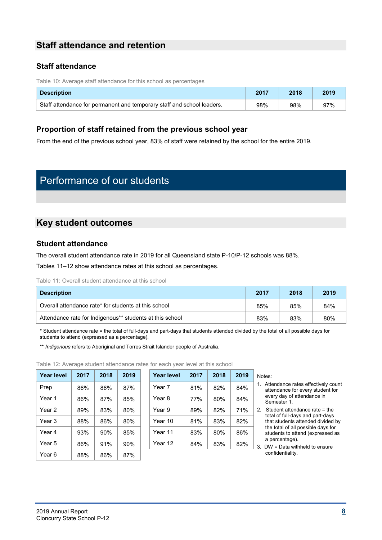# **Staff attendance and retention**

#### **Staff attendance**

Table 10: Average staff attendance for this school as percentages

| <b>Description</b>                                                     | 2017 | 2018 | 2019 |
|------------------------------------------------------------------------|------|------|------|
| Staff attendance for permanent and temporary staff and school leaders. | 98%  | 98%  | 97%  |

#### **Proportion of staff retained from the previous school year**

From the end of the previous school year, 83% of staff were retained by the school for the entire 2019.

# Performance of our students

# **Key student outcomes**

#### **Student attendance**

The overall student attendance rate in 2019 for all Queensland state P-10/P-12 schools was 88%.

Tables 11–12 show attendance rates at this school as percentages.

Table 11: Overall student attendance at this school

| <b>Description</b>                                       | 2017 | 2018 | 2019 |
|----------------------------------------------------------|------|------|------|
| Overall attendance rate* for students at this school     | 85%  | 85%  | 84%  |
| Attendance rate for Indigenous** students at this school | 83%  | 83%  | 80%  |

\* Student attendance rate = the total of full-days and part-days that students attended divided by the total of all possible days for students to attend (expressed as a percentage).

\*\* *Indigenous* refers to Aboriginal and Torres Strait Islander people of Australia.

Table 12: Average student attendance rates for each year level at this school

| Year level | 2017 | 2018 | 2019 | <b>Year level</b> | 2017 | 2018 | 2019 |
|------------|------|------|------|-------------------|------|------|------|
| Prep       | 86%  | 86%  | 87%  | Year 7            | 81%  | 82%  | 84%  |
| Year 1     | 86%  | 87%  | 85%  | Year 8            | 77%  | 80%  | 84%  |
| Year 2     | 89%  | 83%  | 80%  | Year 9            | 89%  | 82%  | 71%  |
| Year 3     | 88%  | 86%  | 80%  | Year 10           | 81%  | 83%  | 82%  |
| Year 4     | 93%  | 90%  | 85%  | Year 11           | 83%  | 80%  | 86%  |
| Year 5     | 86%  | 91%  | 90%  | Year 12           | 84%  | 83%  | 82%  |
| Year 6     | 88%  | 86%  | 87%  |                   |      |      |      |

| Year level | 2017 | 2018 | 2019 | <b>Year level</b> | 2017 | 2018 | 2019 | Notes:                  |
|------------|------|------|------|-------------------|------|------|------|-------------------------|
| Prep       | 86%  | 86%  | 87%  | Year 7            | 81%  | 82%  | 84%  | Att<br>1.<br>att        |
| Year 1     | 86%  | 87%  | 85%  | Year 8            | 77%  | 80%  | 84%  | ev<br>Se                |
| Year 2     | 89%  | 83%  | 80%  | Year 9            | 89%  | 82%  | 71%  | Sti<br>$\overline{2}$ . |
| Year 3     | 88%  | 86%  | 80%  | Year 10           | 81%  | 83%  | 82%  | tot<br>tha              |
| Year 4     | 93%  | 90%  | 85%  | Year 11           | 83%  | 80%  | 86%  | the<br>stu              |
| Year 5     | 86%  | 91%  | 90%  | Year 12           | 84%  | 83%  | 82%  | a p<br><b>DV</b><br>3.  |
|            |      |      |      |                   |      |      |      |                         |

- 1. Attendance rates effectively count attendance for every student for every day of attendance in Semester 1.
- 2. Student attendance rate = the total of full-days and part-days that students attended divided by the total of all possible days for students to attend (expressed as a percentage).

3. DW = Data withheld to ensure confidentiality.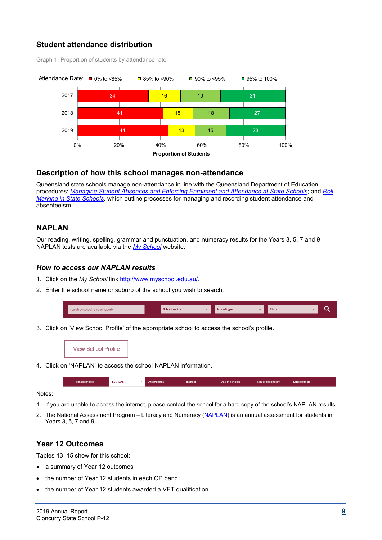#### **Student attendance distribution**

Graph 1: Proportion of students by attendance rate



#### **Description of how this school manages non-attendance**

Queensland state schools manage non-attendance in line with the Queensland Department of Education procedures: *[Managing Student Absences and Enforcing Enrolment and Attendance at State Schools](http://ppr.det.qld.gov.au/education/management/Pages/Managing-Student-Absences-and-Enforcing-Enrolment-and-Attendance-at-State-Schools.aspx)*; and *[Roll](http://ppr.det.qld.gov.au/education/management/Pages/Roll-Marking-in-State-Schools.aspx)  [Marking in State Schools,](http://ppr.det.qld.gov.au/education/management/Pages/Roll-Marking-in-State-Schools.aspx)* which outline processes for managing and recording student attendance and absenteeism.

#### **NAPLAN**

Our reading, writing, spelling, grammar and punctuation, and numeracy results for the Years 3, 5, 7 and 9 NAPLAN tests are available via the *[My School](http://www.myschool.edu.au/)* website.

#### *How to access our NAPLAN results*

- 1. Click on the *My School* link [http://www.myschool.edu.au/.](http://www.myschool.edu.au/)
- 2. Enter the school name or suburb of the school you wish to search.

| Search by school name or suburb | <b>School sector</b> | <b>School type</b> | <b>State</b> |  |
|---------------------------------|----------------------|--------------------|--------------|--|
|                                 |                      |                    |              |  |

3. Click on 'View School Profile' of the appropriate school to access the school's profile.

**View School Profile** 

4. Click on 'NAPLAN' to access the school NAPLAN information.

| School profile | <b>NAPLAN</b> | $\sim$ | Attendance | <b>Finances</b> | VET in schools | Senior secondary | Schools map |
|----------------|---------------|--------|------------|-----------------|----------------|------------------|-------------|
|                |               |        |            |                 |                |                  |             |

Notes:

- 1. If you are unable to access the internet, please contact the school for a hard copy of the school's NAPLAN results.
- 2. The National Assessment Program Literacy and Numeracy [\(NAPLAN\)](http://www.nap.edu.au/naplan) is an annual assessment for students in Years 3, 5, 7 and 9.

#### **Year 12 Outcomes**

Tables 13–15 show for this school:

- a summary of Year 12 outcomes
- the number of Year 12 students in each OP band
- the number of Year 12 students awarded a VET qualification.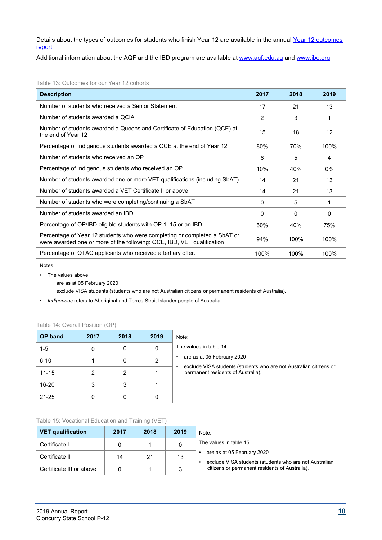Details about the types of outcomes for students who finish Year 12 are available in the annual Year 12 outcomes [report.](https://www.qcaa.qld.edu.au/about/publications/statistics)

Additional information about the AQF and the IBD program are available at [www.aqf.edu.au](https://www.aqf.edu.au/) and [www.ibo.org.](https://www.ibo.org/)

| Table 13: Outcomes for our Year 12 cohorts |  |
|--------------------------------------------|--|
|--------------------------------------------|--|

| <b>Description</b>                                                                                                                                  | 2017           | 2018 | 2019     |
|-----------------------------------------------------------------------------------------------------------------------------------------------------|----------------|------|----------|
| Number of students who received a Senior Statement                                                                                                  | 17             | 21   | 13       |
| Number of students awarded a QCIA                                                                                                                   | $\overline{2}$ | 3    | 1        |
| Number of students awarded a Queensland Certificate of Education (QCE) at<br>the end of Year 12                                                     | 15             | 18   | 12       |
| Percentage of Indigenous students awarded a QCE at the end of Year 12                                                                               | 80%            | 70%  | 100%     |
| Number of students who received an OP                                                                                                               | 6              | 5    | 4        |
| Percentage of Indigenous students who received an OP                                                                                                | 10%            | 40%  | $0\%$    |
| Number of students awarded one or more VET qualifications (including SbAT)                                                                          | 14             | 21   | 13       |
| Number of students awarded a VET Certificate II or above                                                                                            | 14             | 21   | 13       |
| Number of students who were completing/continuing a SbAT                                                                                            | $\Omega$       | 5    | 1        |
| Number of students awarded an IBD                                                                                                                   | $\Omega$       | 0    | $\Omega$ |
| Percentage of OP/IBD eligible students with OP 1-15 or an IBD                                                                                       | 50%            | 40%  | 75%      |
| Percentage of Year 12 students who were completing or completed a SbAT or<br>were awarded one or more of the following: QCE, IBD, VET qualification | 94%            | 100% | 100%     |
| Percentage of QTAC applicants who received a tertiary offer.                                                                                        | 100%           | 100% | 100%     |

Notes:

- The values above:
	- − are as at 05 February 2020
	- − exclude VISA students (students who are not Australian citizens or permanent residents of Australia).
- *Indigenous* refers to Aboriginal and Torres Strait Islander people of Australia.

|  |  |  | Table 14: Overall Position (OP) |  |  |
|--|--|--|---------------------------------|--|--|
|--|--|--|---------------------------------|--|--|

| <b>OP</b> band | 2017 | 2018           | 2019 | Note:          |
|----------------|------|----------------|------|----------------|
| $1 - 5$        | 0    |                |      | The $\sqrt{ }$ |
| $6 - 10$       |      |                | 2    | ar<br>٠        |
| $11 - 15$      | 2    | $\overline{2}$ |      | e)<br>p        |
| 16-20          | 3    | 3              |      |                |
| $21 - 25$      | 0    |                |      |                |

| inote: |  |  |  |
|--------|--|--|--|
|        |  |  |  |
|        |  |  |  |

e values in table 14:

• are as at 05 February 2020

• exclude VISA students (students who are not Australian citizens or permanent residents of Australia).

#### Table 15: Vocational Education and Training (VET)

| <b>VET qualification</b> | 2017 | 2018 | 2019 | Note:                                                                                |
|--------------------------|------|------|------|--------------------------------------------------------------------------------------|
| Certificate I            |      |      |      | The values in table 15:                                                              |
| Certificate II           | 14   | 21   | 13   | are as at 05 February 2020<br>exclude VISA students (students who are not Australian |
| Certificate III or above |      |      |      | citizens or permanent residents of Australia).                                       |